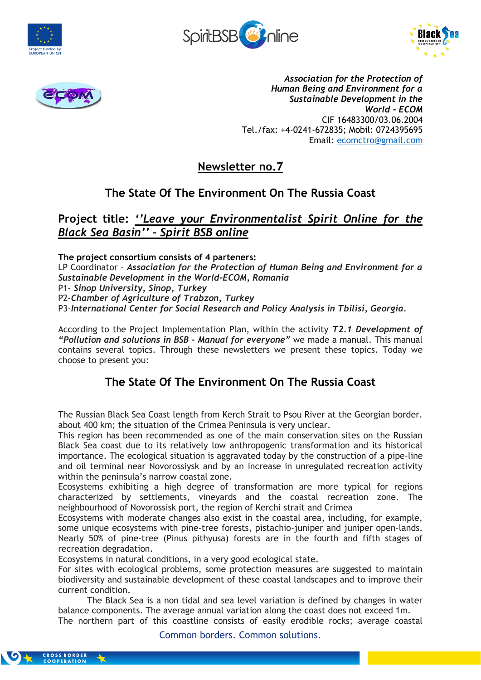







*Association for the Protection of Human Being and Environment for a Sustainable Development in the World - ECOM* CIF 16483300/03.06.2004 Tel./fax: +4-0241-672835; Mobil: 0724395695 Email: [ecomctro@gmail.com](mailto:ecomctro@gmail.com)

# **Newsletter no.7**

## **The State Of The Environment On The Russia Coast**

## **Project title:** *''Leave your Environmentalist Spirit Online for the Black Sea Basin'' – Spirit BSB online*

**The project consortium consists of 4 parteners:**

LP Coordinator – *Association for the Protection of Human Being and Environment for a Sustainable Development in the World-ECOM, Romania*

P1- *Sinop University, Sinop, Turkey*

P2-*Chamber of Agriculture of Trabzon, Turkey*

P3-*International Center for Social Research and Policy Analysis in Tbilisi, Georgia.*

According to the Project Implementation Plan, within the activity *T2.1 Development of "Pollution and solutions in BSB - Manual for everyone"* we made a manual. This manual contains several topics. Through these newsletters we present these topics. Today we choose to present you:

## **The State Of The Environment On The Russia Coast**

The Russian Black Sea Coast length from Kerch Strait to Psou River at the Georgian border. about 400 km; the situation of the Crimea Peninsula is very unclear.

This region has been recommended as one of the main conservation sites on the Russian Black Sea coast due to its relatively low anthropogenic transformation and its historical importance. The ecological situation is aggravated today by the construction of a pipe-line and oil terminal near Novorossiysk and by an increase in unregulated recreation activity within the peninsula's narrow coastal zone.

Ecosystems exhibiting a high degree of transformation are more typical for regions characterized by settlements, vineyards and the coastal recreation zone. The neighbourhood of Novorossisk port, the region of Kerchi strait and Crimea

Ecosystems with moderate changes also exist in the coastal area, including, for example, some unique ecosystems with pine-tree forests, pistachio-juniper and juniper open-lands. Nearly 50% of pine-tree (Pinus pithyusa) forests are in the fourth and fifth stages of recreation degradation.

Ecosystems in natural conditions, in a very good ecological state.

For sites with ecological problems, some protection measures are suggested to maintain biodiversity and sustainable development of these coastal landscapes and to improve their current condition.

The Black Sea is a non tidal and sea level variation is defined by changes in water balance components. The average annual variation along the coast does not exceed 1m. The northern part of this coastline consists of easily erodible rocks; average coastal

Common borders. Common solutions.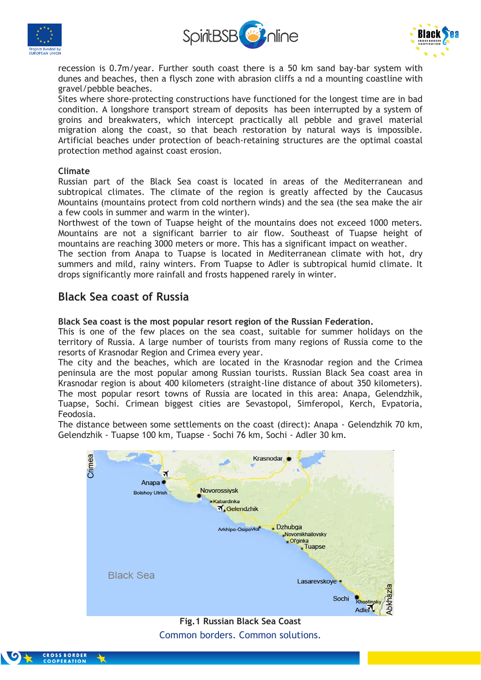





recession is 0.7m/year. Further south coast there is a 50 km sand bay-bar system with dunes and beaches, then a flysch zone with abrasion cliffs a nd a mounting coastline with gravel/pebble beaches.

Sites where shore-protecting constructions have functioned for the longest time are in bad condition. A longshore transport stream of deposits has been interrupted by a system of groins and breakwaters, which intercept practically all pebble and gravel material migration along the coast, so that beach restoration by natural ways is impossible. Artificial beaches under protection of beach-retaining structures are the optimal coastal protection method against coast erosion.

## **Climate**

Russian part of the Black Sea coast is located in areas of the Mediterranean and subtropical climates. The climate of the region is greatly affected by the Caucasus Mountains (mountains protect from cold northern winds) and the sea (the sea make the air a few cools in summer and warm in the winter).

Northwest of the town of Tuapse height of the mountains does not exceed 1000 meters. Mountains are not a significant barrier to air flow. Southeast of Tuapse height of mountains are reaching 3000 meters or more. This has a significant impact on weather.

The section from Anapa to Tuapse is located in Mediterranean climate with hot, dry summers and mild, rainy winters. From Tuapse to Adler is subtropical humid climate. It drops significantly more rainfall and frosts happened rarely in winter.

## **Black Sea coast of Russia**

## **Black Sea coast is the most popular resort region of the Russian Federation.**

This is one of the few places on the sea coast, suitable for summer holidays on the territory of Russia. A large number of tourists from many regions of Russia come to the resorts of Krasnodar Region and Crimea every year.

The city and the beaches, which are located in the Krasnodar region and the Crimea peninsula are the most popular among Russian tourists. Russian Black Sea coast area in Krasnodar region is about 400 kilometers (straight-line distance of about 350 kilometers). The most popular resort towns of Russia are located in this area: Anapa, Gelendzhik, Tuapse, Sochi. Crimean biggest cities are Sevastopol, Simferopol, Kerch, Evpatoria, Feodosia.

The distance between some settlements on the coast (direct): Anapa - Gelendzhik 70 km, Gelendzhik - Tuapse 100 km, Tuapse - Sochi 76 km, Sochi - Adler 30 km.



## Common borders. Common solutions. **Fig.1 Russian Black Sea Coast**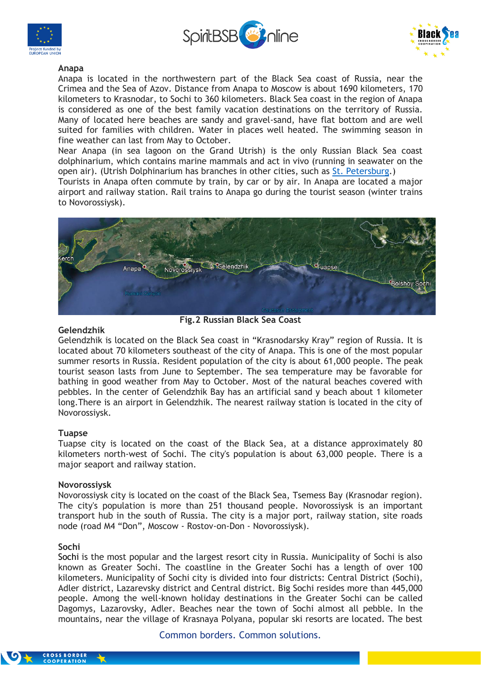





### **Anapa**

Anapa is located in the northwestern part of the Black Sea coast of Russia, near the Crimea and the Sea of Azov. Distance from Anapa to Moscow is about 1690 kilometers, 170 kilometers to Krasnodar, to Sochi to 360 kilometers. Black Sea coast in the region of Anapa is considered as one of the best family vacation destinations on the territory of Russia. Many of located here beaches are sandy and gravel-sand, have flat bottom and are well suited for families with children. Water in places well heated. The swimming season in fine weather can last from May to October.

Near Anapa (in sea lagoon on the Grand Utrish) is the only Russian Black Sea coast dolphinarium, which contains marine mammals and act in vivo (running in seawater on the open air). (Utrish Dolphinarium has branches in other cities, such as [St. Petersburg.](http://www.visit-plus.com/saint_petersburg))

Tourists in Anapa often commute by train, by car or by air. In Anapa are located a major airport and railway station. Rail trains to Anapa go during the tourist season (winter trains to Novorossiysk).



**Fig.2 Russian Black Sea Coast**

### **Gelendzhik**

Gelendzhik is located on the Black Sea coast in "Krasnodarsky Kray" region of Russia. It is located about 70 kilometers southeast of the city of Anapa. This is one of the most popular summer resorts in Russia. Resident population of the city is about 61,000 people. The peak tourist season lasts from June to September. The sea temperature may be favorable for bathing in good weather from May to October. Most of the natural beaches covered with pebbles. In the center of Gelendzhik Bay has an artificial sand y beach about 1 kilometer long.There is an airport in Gelendzhik. The nearest railway station is located in the city of Novorossiysk.

### **Tuapse**

Tuapse city is located on the coast of the Black Sea, at a distance approximately 80 kilometers north-west of Sochi. The city's population is about 63,000 people. There is a major seaport and railway station.

### **Novorossiysk**

Novorossiysk city is located on the coast of the Black Sea, Tsemess Bay (Krasnodar region). The city's population is more than 251 thousand people. Novorossiysk is an important transport hub in the south of Russia. The city is a major port, railway station, site roads node (road M4 "Don", Moscow - Rostov-on-Don - Novorossiysk).

### **Sochi**

[Sochi](http://www.visit-plus.com/sochi) is the most popular and the largest resort city in Russia. Municipality of Sochi is also known as Greater Sochi. The coastline in the Greater Sochi has a length of over 100 kilometers. Municipality of Sochi city is divided into four districts: Central District (Sochi), Adler district, Lazarevsky district and Central district. Big Sochi resides more than 445,000 people. Among the well-known holiday destinations in the Greater Sochi can be called Dagomys, Lazarovsky, Adler. Beaches near the town of Sochi almost all pebble. In the mountains, near the village of Krasnaya Polyana, popular ski resorts are located. The best

Common borders. Common solutions.